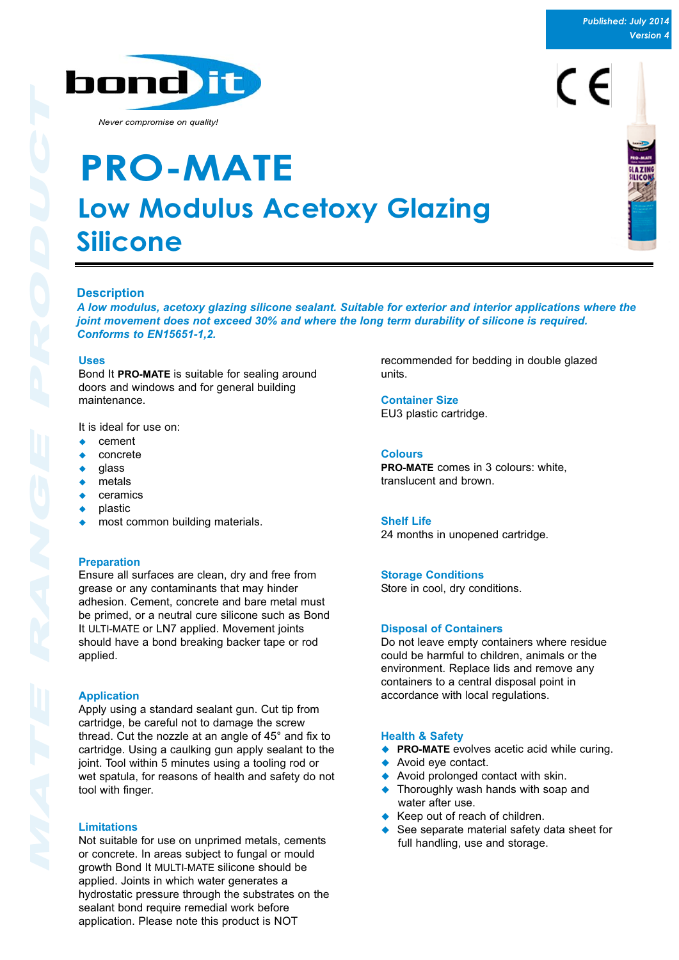

# $\epsilon$



*Never compromise on quality!*

## **Low Modulus Acetoxy Glazing Silicone PRO-MATE**

## **Description**

*A low modulus, acetoxy glazing silicone sealant. Suitable for exterior and interior applications where the joint movement does not exceed 30% and where the long term durability of silicone is required. Conforms to EN15651-1,2.*

#### **Uses**

Bond It **PRO-MATE** is suitable for sealing around doors and windows and for general building maintenance.

It is ideal for use on:

- $\leftarrow$  cement
- $\bullet$  concrete
- $\bullet$  glass
- metals
- ceramics
- ! plastic
- most common building materials.

#### **Preparation**

Ensure all surfaces are clean, dry and free from grease or any contaminants that may hinder adhesion. Cement, concrete and bare metal must be primed, or a neutral cure silicone such as Bond It ULTI-MATE or LN7 applied. Movement joints should have a bond breaking backer tape or rod applied.

#### **Application**

Apply using a standard sealant gun. Cut tip from cartridge, be careful not to damage the screw thread. Cut the nozzle at an angle of 45° and fix to cartridge. Using a caulking gun apply sealant to the joint. Tool within 5 minutes using a tooling rod or wet spatula, for reasons of health and safety do not tool with finger.

#### **Limitations**

Not suitable for use on unprimed metals, cements or concrete. In areas subject to fungal or mould growth Bond It MULTI-MATE silicone should be applied. Joints in which water generates a hydrostatic pressure through the substrates on the sealant bond require remedial work before application. Please note this product is NOT

recommended for bedding in double glazed units.

**Container Size** EU3 plastic cartridge.

**Colours**

**PRO-MATE** comes in 3 colours: white, translucent and brown.

#### **Shelf Life**

24 months in unopened cartridge.

#### **Storage Conditions**

Store in cool, dry conditions.

#### **Disposal of Containers**

Do not leave empty containers where residue could be harmful to children, animals or the environment. Replace lids and remove any containers to a central disposal point in accordance with local regulations.

#### **Health & Safety**

- ◆ **PRO-MATE** evolves acetic acid while curing.
- Avoid eye contact.
- $\triangle$  Avoid prolonged contact with skin.
- ◆ Thoroughly wash hands with soap and water after use.
- Keep out of reach of children.
- ◆ See separate material safety data sheet for full handling, use and storage.